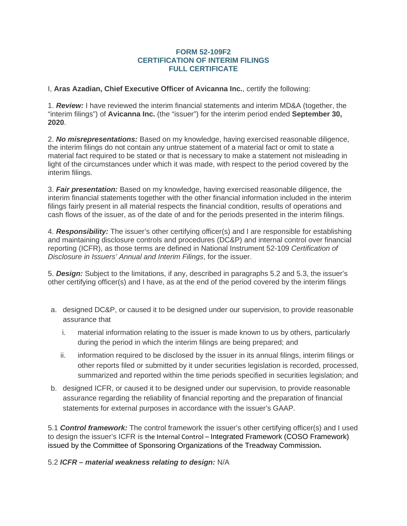## **FORM 52-109F2 CERTIFICATION OF INTERIM FILINGS FULL CERTIFICATE**

I, **Aras Azadian, Chief Executive Officer of Avicanna Inc.**, certify the following:

1. *Review:* I have reviewed the interim financial statements and interim MD&A (together, the "interim filings") of **Avicanna Inc.** (the "issuer") for the interim period ended **September 30, 2020**.

2. *No misrepresentations:* Based on my knowledge, having exercised reasonable diligence, the interim filings do not contain any untrue statement of a material fact or omit to state a material fact required to be stated or that is necessary to make a statement not misleading in light of the circumstances under which it was made, with respect to the period covered by the interim filings.

3. *Fair presentation:* Based on my knowledge, having exercised reasonable diligence, the interim financial statements together with the other financial information included in the interim filings fairly present in all material respects the financial condition, results of operations and cash flows of the issuer, as of the date of and for the periods presented in the interim filings.

4. *Responsibility:* The issuer's other certifying officer(s) and I are responsible for establishing and maintaining disclosure controls and procedures (DC&P) and internal control over financial reporting (ICFR), as those terms are defined in National Instrument 52-109 *Certification of Disclosure in Issuers' Annual and Interim Filings*, for the issuer.

5. *Design:* Subject to the limitations, if any, described in paragraphs 5.2 and 5.3, the issuer's other certifying officer(s) and I have, as at the end of the period covered by the interim filings

- a. designed DC&P, or caused it to be designed under our supervision, to provide reasonable assurance that
	- i. material information relating to the issuer is made known to us by others, particularly during the period in which the interim filings are being prepared; and
	- ii. information required to be disclosed by the issuer in its annual filings, interim filings or other reports filed or submitted by it under securities legislation is recorded, processed, summarized and reported within the time periods specified in securities legislation; and
- b. designed ICFR, or caused it to be designed under our supervision, to provide reasonable assurance regarding the reliability of financial reporting and the preparation of financial statements for external purposes in accordance with the issuer's GAAP.

5.1 *Control framework:* The control framework the issuer's other certifying officer(s) and I used to design the issuer's ICFR is the Internal Control – Integrated Framework (COSO Framework) issued by the Committee of Sponsoring Organizations of the Treadway Commission**.**

5.2 *ICFR – material weakness relating to design:* N/A